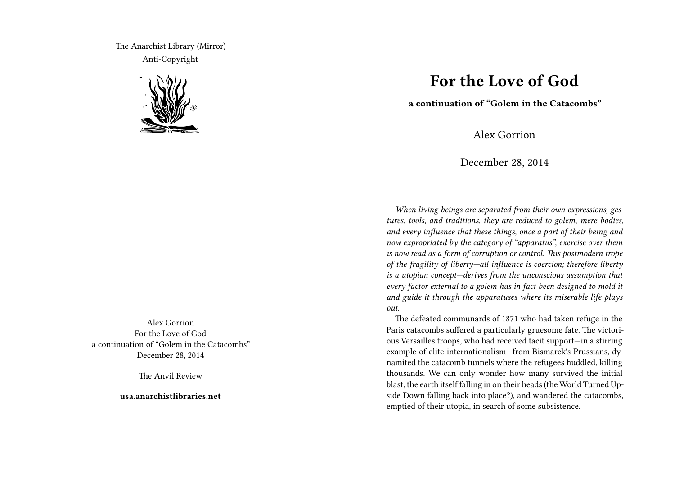The Anarchist Library (Mirror) Anti-Copyright



Alex Gorrion For the Love of God a continuation of "Golem in the Catacombs" December 28, 2014

The Anvil Review

**usa.anarchistlibraries.net**

## **For the Love of God**

**a continuation of "Golem in the Catacombs"**

Alex Gorrion

December 28, 2014

*When living beings are separated from their own expressions, gestures, tools, and traditions, they are reduced to golem, mere bodies, and every influence that these things, once a part of their being and now expropriated by the category of "apparatus", exercise over them is now read as a form of corruption or control. This postmodern trope of the fragility of liberty—all influence is coercion; therefore liberty is a utopian concept—derives from the unconscious assumption that every factor external to a golem has in fact been designed to mold it and guide it through the apparatuses where its miserable life plays out.*

The defeated communards of 1871 who had taken refuge in the Paris catacombs suffered a particularly gruesome fate. The victorious Versailles troops, who had received tacit support—in a stirring example of elite internationalism—from Bismarck's Prussians, dynamited the catacomb tunnels where the refugees huddled, killing thousands. We can only wonder how many survived the initial blast, the earth itself falling in on their heads (the World Turned Upside Down falling back into place?), and wandered the catacombs, emptied of their utopia, in search of some subsistence.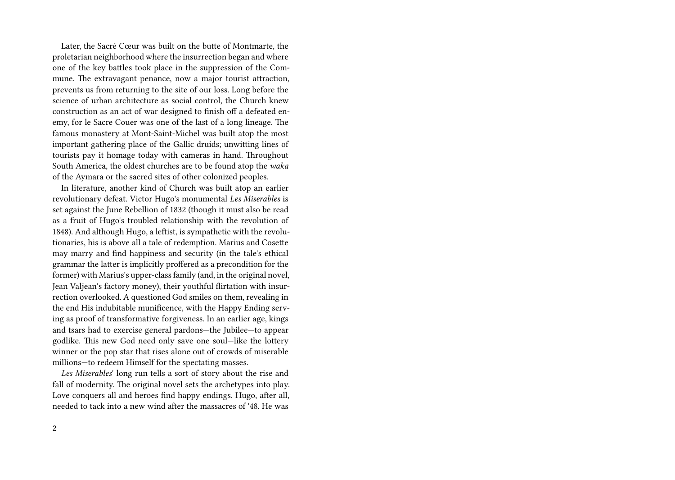Later, the Sacré Cœur was built on the butte of Montmarte, the proletarian neighborhood where the insurrection began and where one of the key battles took place in the suppression of the Commune. The extravagant penance, now a major tourist attraction, prevents us from returning to the site of our loss. Long before the science of urban architecture as social control, the Church knew construction as an act of war designed to finish off a defeated enemy, for le Sacre Couer was one of the last of a long lineage. The famous monastery at Mont-Saint-Michel was built atop the most important gathering place of the Gallic druids; unwitting lines of tourists pay it homage today with cameras in hand. Throughout South America, the oldest churches are to be found atop the *waka* of the Aymara or the sacred sites of other colonized peoples.

In literature, another kind of Church was built atop an earlier revolutionary defeat. Victor Hugo's monumental *Les Miserables* is set against the June Rebellion of 1832 (though it must also be read as a fruit of Hugo's troubled relationship with the revolution of 1848). And although Hugo, a leftist, is sympathetic with the revolutionaries, his is above all a tale of redemption. Marius and Cosette may marry and find happiness and security (in the tale's ethical grammar the latter is implicitly proffered as a precondition for the former) with Marius's upper-class family (and, in the original novel, Jean Valjean's factory money), their youthful flirtation with insurrection overlooked. A questioned God smiles on them, revealing in the end His indubitable munificence, with the Happy Ending serving as proof of transformative forgiveness. In an earlier age, kings and tsars had to exercise general pardons—the Jubilee—to appear godlike. This new God need only save one soul—like the lottery winner or the pop star that rises alone out of crowds of miserable millions—to redeem Himself for the spectating masses.

*Les Miserables*' long run tells a sort of story about the rise and fall of modernity. The original novel sets the archetypes into play. Love conquers all and heroes find happy endings. Hugo, after all, needed to tack into a new wind after the massacres of '48. He was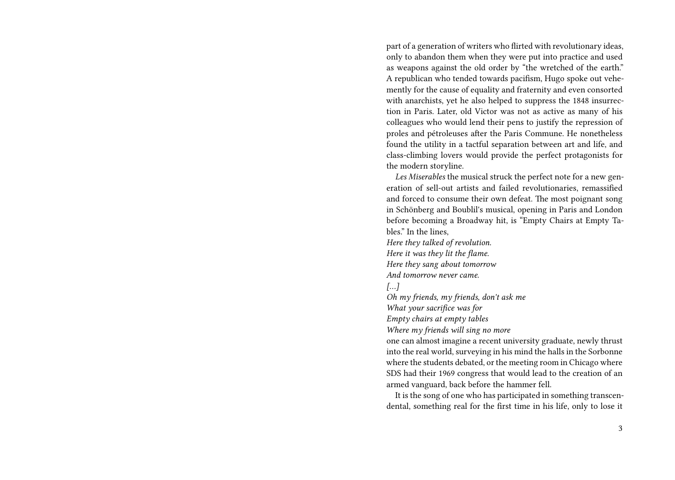part of a generation of writers who flirted with revolutionary ideas, only to abandon them when they were put into practice and used as weapons against the old order by "the wretched of the earth." A republican who tended towards pacifism, Hugo spoke out vehemently for the cause of equality and fraternity and even consorted with anarchists, yet he also helped to suppress the 1848 insurrection in Paris. Later, old Victor was not as active as many of his colleagues who would lend their pens to justify the repression of proles and pétroleuses after the Paris Commune. He nonetheless found the utility in a tactful separation between art and life, and class-climbing lovers would provide the perfect protagonists for the modern storyline.

*Les Miserables* the musical struck the perfect note for a new generation of sell-out artists and failed revolutionaries, remassified and forced to consume their own defeat. The most poignant song in Schönberg and Boublil's musical, opening in Paris and London before becoming a Broadway hit, is "Empty Chairs at Empty Tables." In the lines,

*Here they talked of revolution. Here it was they lit the flame. Here they sang about tomorrow And tomorrow never came.*

*[…]*

*Oh my friends, my friends, don't ask me*

*What your sacrifice was for*

*Empty chairs at empty tables*

*Where my friends will sing no more*

one can almost imagine a recent university graduate, newly thrust into the real world, surveying in his mind the halls in the Sorbonne where the students debated, or the meeting room in Chicago where SDS had their 1969 congress that would lead to the creation of an armed vanguard, back before the hammer fell.

It is the song of one who has participated in something transcendental, something real for the first time in his life, only to lose it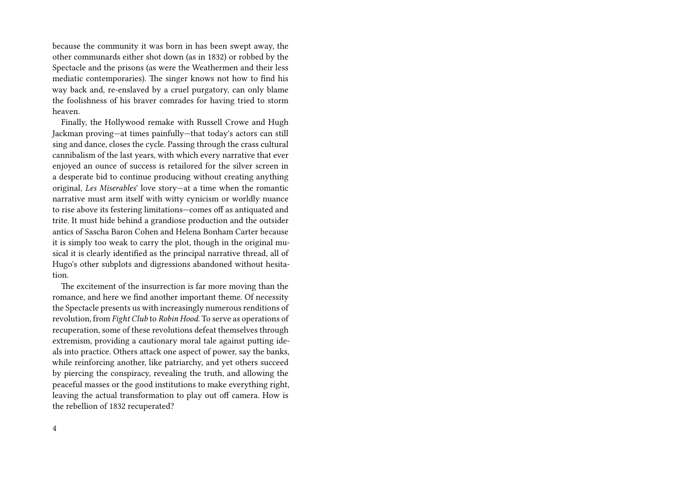because the community it was born in has been swept away, the other communards either shot down (as in 1832) or robbed by the Spectacle and the prisons (as were the Weathermen and their less mediatic contemporaries). The singer knows not how to find his way back and, re-enslaved by a cruel purgatory, can only blame the foolishness of his braver comrades for having tried to storm heaven.

Finally, the Hollywood remake with Russell Crowe and Hugh Jackman proving—at times painfully—that today's actors can still sing and dance, closes the cycle. Passing through the crass cultural cannibalism of the last years, with which every narrative that ever enjoyed an ounce of success is retailored for the silver screen in a desperate bid to continue producing without creating anything original, *Les Miserables*' love story—at a time when the romantic narrative must arm itself with witty cynicism or worldly nuance to rise above its festering limitations—comes off as antiquated and trite. It must hide behind a grandiose production and the outsider antics of Sascha Baron Cohen and Helena Bonham Carter because it is simply too weak to carry the plot, though in the original musical it is clearly identified as the principal narrative thread, all of Hugo's other subplots and digressions abandoned without hesitation.

The excitement of the insurrection is far more moving than the romance, and here we find another important theme. Of necessity the Spectacle presents us with increasingly numerous renditions of revolution, from *Fight Club* to *Robin Hood*. To serve as operations of recuperation, some of these revolutions defeat themselves through extremism, providing a cautionary moral tale against putting ideals into practice. Others attack one aspect of power, say the banks, while reinforcing another, like patriarchy, and yet others succeed by piercing the conspiracy, revealing the truth, and allowing the peaceful masses or the good institutions to make everything right, leaving the actual transformation to play out off camera. How is the rebellion of 1832 recuperated?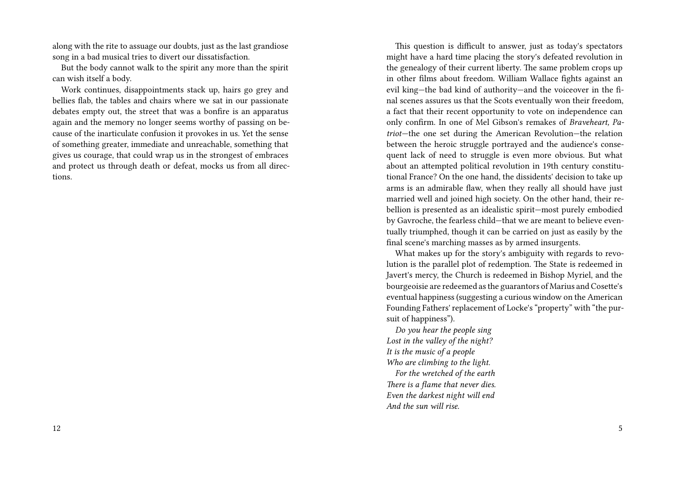along with the rite to assuage our doubts, just as the last grandiose song in a bad musical tries to divert our dissatisfaction.

But the body cannot walk to the spirit any more than the spirit can wish itself a body.

Work continues, disappointments stack up, hairs go grey and bellies flab, the tables and chairs where we sat in our passionate debates empty out, the street that was a bonfire is an apparatus again and the memory no longer seems worthy of passing on because of the inarticulate confusion it provokes in us. Yet the sense of something greater, immediate and unreachable, something that gives us courage, that could wrap us in the strongest of embraces and protect us through death or defeat, mocks us from all directions.

This question is difficult to answer, just as today's spectators might have a hard time placing the story's defeated revolution in the genealogy of their current liberty. The same problem crops up in other films about freedom. William Wallace fights against an evil king—the bad kind of authority—and the voiceover in the final scenes assures us that the Scots eventually won their freedom, a fact that their recent opportunity to vote on independence can only confirm. In one of Mel Gibson's remakes of *Braveheart, Patriot*—the one set during the American Revolution—the relation between the heroic struggle portrayed and the audience's consequent lack of need to struggle is even more obvious. But what about an attempted political revolution in 19th century constitutional France? On the one hand, the dissidents' decision to take up arms is an admirable flaw, when they really all should have just married well and joined high society. On the other hand, their rebellion is presented as an idealistic spirit—most purely embodied by Gavroche, the fearless child—that we are meant to believe eventually triumphed, though it can be carried on just as easily by the final scene's marching masses as by armed insurgents.

What makes up for the story's ambiguity with regards to revolution is the parallel plot of redemption. The State is redeemed in Javert's mercy, the Church is redeemed in Bishop Myriel, and the bourgeoisie are redeemed as the guarantors of Marius and Cosette's eventual happiness (suggesting a curious window on the American Founding Fathers' replacement of Locke's "property" with "the pursuit of happiness").

*Do you hear the people sing Lost in the valley of the night? It is the music of a people Who are climbing to the light. For the wretched of the earth*

*There is a flame that never dies. Even the darkest night will end And the sun will rise.*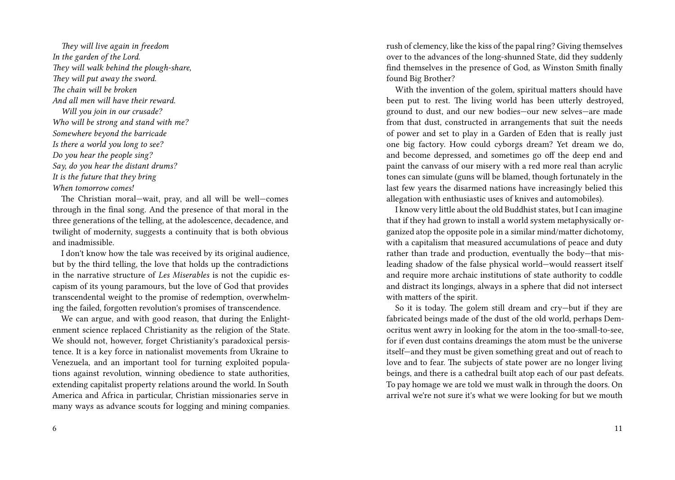*They will live again in freedom In the garden of the Lord. They will walk behind the plough-share, They will put away the sword. The chain will be broken And all men will have their reward. Will you join in our crusade? Who will be strong and stand with me? Somewhere beyond the barricade Is there a world you long to see? Do you hear the people sing? Say, do you hear the distant drums? It is the future that they bring When tomorrow comes!*

The Christian moral—wait, pray, and all will be well—comes through in the final song. And the presence of that moral in the three generations of the telling, at the adolescence, decadence, and twilight of modernity, suggests a continuity that is both obvious and inadmissible.

I don't know how the tale was received by its original audience, but by the third telling, the love that holds up the contradictions in the narrative structure of *Les Miserables* is not the cupidic escapism of its young paramours, but the love of God that provides transcendental weight to the promise of redemption, overwhelming the failed, forgotten revolution's promises of transcendence.

We can argue, and with good reason, that during the Enlightenment science replaced Christianity as the religion of the State. We should not, however, forget Christianity's paradoxical persistence. It is a key force in nationalist movements from Ukraine to Venezuela, and an important tool for turning exploited populations against revolution, winning obedience to state authorities, extending capitalist property relations around the world. In South America and Africa in particular, Christian missionaries serve in many ways as advance scouts for logging and mining companies. rush of clemency, like the kiss of the papal ring? Giving themselves over to the advances of the long-shunned State, did they suddenly find themselves in the presence of God, as Winston Smith finally found Big Brother?

With the invention of the golem, spiritual matters should have been put to rest. The living world has been utterly destroyed, ground to dust, and our new bodies—our new selves—are made from that dust, constructed in arrangements that suit the needs of power and set to play in a Garden of Eden that is really just one big factory. How could cyborgs dream? Yet dream we do, and become depressed, and sometimes go off the deep end and paint the canvass of our misery with a red more real than acrylic tones can simulate (guns will be blamed, though fortunately in the last few years the disarmed nations have increasingly belied this allegation with enthusiastic uses of knives and automobiles).

I know very little about the old Buddhist states, but I can imagine that if they had grown to install a world system metaphysically organized atop the opposite pole in a similar mind/matter dichotomy, with a capitalism that measured accumulations of peace and duty rather than trade and production, eventually the body—that misleading shadow of the false physical world—would reassert itself and require more archaic institutions of state authority to coddle and distract its longings, always in a sphere that did not intersect with matters of the spirit.

So it is today. The golem still dream and cry—but if they are fabricated beings made of the dust of the old world, perhaps Democritus went awry in looking for the atom in the too-small-to-see, for if even dust contains dreamings the atom must be the universe itself—and they must be given something great and out of reach to love and to fear. The subjects of state power are no longer living beings, and there is a cathedral built atop each of our past defeats. To pay homage we are told we must walk in through the doors. On arrival we're not sure it's what we were looking for but we mouth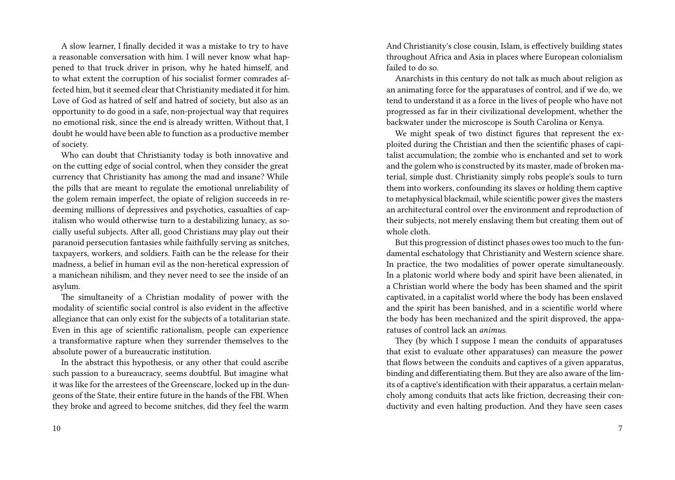A slow learner, I finally decided it was a mistake to try to have a reasonable conversation with him. I will never know what happened to that truck driver in prison, why he hated himself, and to what extent the corruption of his socialist former comrades affected him, but it seemed clear that Christianity mediated it for him. Love of God as hatred of self and hatred of society, but also as an opportunity to do good in a safe, non-projectual way that requires no emotional risk, since the end is already written. Without that, I doubt he would have been able to function as a productive member of society.

Who can doubt that Christianity today is both innovative and on the cutting edge of social control, when they consider the great currency that Christianity has among the mad and insane? While the pills that are meant to regulate the emotional unreliability of the golem remain imperfect, the opiate of religion succeeds in redeeming millions of depressives and psychotics, casualties of capitalism who would otherwise turn to a destabilizing lunacy, as socially useful subjects. After all, good Christians may play out their paranoid persecution fantasies while faithfully serving as snitches, taxpayers, workers, and soldiers. Faith can be the release for their madness, a belief in human evil as the non-heretical expression of a manichean nihilism, and they never need to see the inside of an asylum.

The simultaneity of a Christian modality of power with the modality of scientific social control is also evident in the affective allegiance that can only exist for the subjects of a totalitarian state. Even in this age of scientific rationalism, people can experience a transformative rapture when they surrender themselves to the absolute power of a bureaucratic institution.

In the abstract this hypothesis, or any other that could ascribe such passion to a bureaucracy, seems doubtful. But imagine what it was like for the arrestees of the Greenscare, locked up in the dungeons of the State, their entire future in the hands of the FBI. When they broke and agreed to become snitches, did they feel the warm And Christianity's close cousin, Islam, is effectively building states throughout Africa and Asia in places where European colonialism failed to do so.

Anarchists in this century do not talk as much about religion as an animating force for the apparatuses of control, and if we do, we tend to understand it as a force in the lives of people who have not progressed as far in their civilizational development, whether the backwater under the microscope is South Carolina or Kenya.

We might speak of two distinct figures that represent the exploited during the Christian and then the scientific phases of capitalist accumulation; the zombie who is enchanted and set to work and the golem who is constructed by its master, made of broken material, simple dust. Christianity simply robs people's souls to turn them into workers, confounding its slaves or holding them captive to metaphysical blackmail, while scientific power gives the masters an architectural control over the environment and reproduction of their subjects, not merely enslaving them but creating them out of whole cloth.

But this progression of distinct phases owes too much to the fundamental eschatology that Christianity and Western science share. In practice, the two modalities of power operate simultaneously. In a platonic world where body and spirit have been alienated, in a Christian world where the body has been shamed and the spirit captivated, in a capitalist world where the body has been enslaved and the spirit has been banished, and in a scientific world where the body has been mechanized and the spirit disproved, the apparatuses of control lack an *animus*.

They (by which I suppose I mean the conduits of apparatuses that exist to evaluate other apparatuses) can measure the power that flows between the conduits and captives of a given apparatus, binding and differentiating them. But they are also aware of the limits of a captive's identification with their apparatus, a certain melancholy among conduits that acts like friction, decreasing their conductivity and even halting production. And they have seen cases